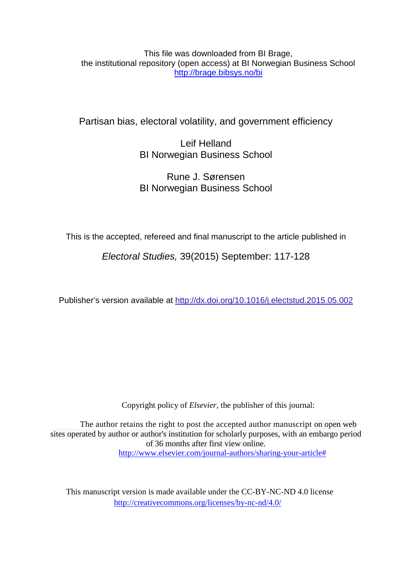This file was downloaded from BI Brage, the institutional repository (open access) at BI Norwegian Business School <http://brage.bibsys.no/bi>

Partisan bias, electoral volatility, and government efficiency

Leif Helland BI Norwegian Business School

Rune J. Sørensen BI Norwegian Business School

This is the accepted, refereed and final manuscript to the article published in

*Electoral Studies,* 39(2015) September: 117-128

Publisher's version available at http://dx.doi.org[/10.1016/j.electstud.2015.05.002](http://dx.doi.org.ezproxy.library.bi.no/10.1016/j.electstud.2015.05.002)

Copyright policy of *Elsevier,* the publisher of this journal:

The author retains the right to post the accepted author manuscript on open web sites operated by author or author's institution for scholarly purposes, with an embargo period of 36 months after first view online. [http://www.elsevier.com/journal-authors/sharing-your-article#](http://www.elsevier.com/journal-authors/sharing-your-article)

This manuscript version is made available under the CC-BY-NC-ND 4.0 license <http://creativecommons.org/licenses/by-nc-nd/4.0/>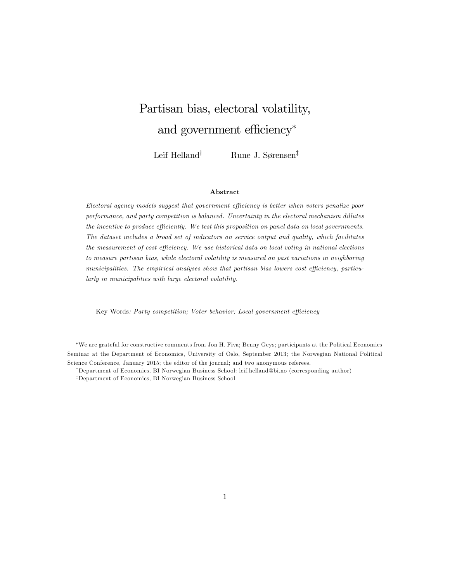# Partisan bias, electoral volatility, and government efficiency $*$

Leif Helland<sup>†</sup> Rune J. Sørensen<sup>‡</sup>

#### Abstract

Electoral agency models suggest that government efficiency is better when voters penalize poor performance, and party competition is balanced. Uncertainty in the electoral mechanism dillutes the incentive to produce efficiently. We test this proposition on panel data on local governments. The dataset includes a broad set of indicators on service output and quality, which facilitates the measurement of cost efficiency. We use historical data on local voting in national elections to measure partisan bias, while electoral volatility is measured on past variations in neighboring municipalities. The empirical analyses show that partisan bias lowers cost efficiency, particularly in municipalities with large electoral volatility.

Key Words: Party competition; Voter behavior; Local government efficiency

We are grateful for constructive comments from Jon H. Fiva; Benny Geys; participants at the Political Economics Seminar at the Department of Economics, University of Oslo, September 2013; the Norwegian National Political Science Conference, January 2015; the editor of the journal; and two anonymous referees.

yDepartment of Economics, BI Norwegian Business School: leif.helland@bi.no (corresponding author) <sup>‡</sup>Department of Economics, BI Norwegian Business School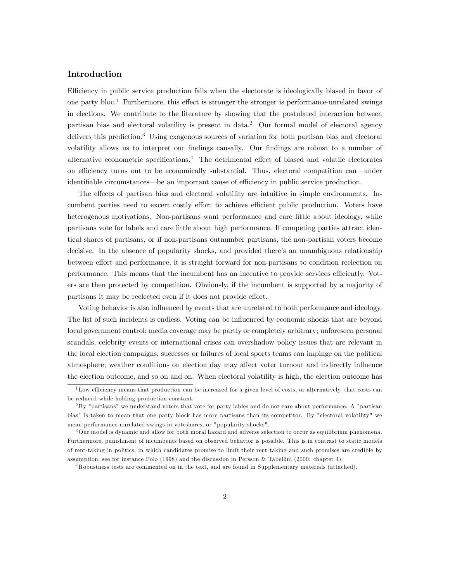## Introduction

Efficiency in public service production falls when the electorate is ideologically biased in favor of one party bloc.<sup>1</sup> Furthermore, this effect is stronger the stronger is performance-unrelated swings in elections. We contribute to the literature by showing that the postulated interaction between partisan bias and electoral volatility is present in data.<sup>2</sup> Our formal model of electoral agency delivers this prediction.<sup>3</sup> Using exogenous sources of variation for both partisan bias and electoral volatility allows us to interpret our findings causally. Our findings are robust to a number of alternative econometric specifications.<sup>4</sup> The detrimental effect of biased and volatile electorates on efficiency turns out to be economically substantial. Thus, electoral competition can—under identifiable circumstances—be an important cause of efficiency in public service production.

The effects of partisan bias and electoral volatility are intuitive in simple environments. Incumbent parties need to excert costly effort to achieve efficient public production. Voters have heterogenous motivations. Non-partisans want performance and care little about ideology, while partisans vote for labels and care little about high performance. If competing parties attract identical shares of partisans, or if non-partisans outnumber partisans, the non-partisan voters become decisive. In the absence of popularity shocks, and provided there's an unambiguous relationship between effort and performance, it is straight forward for non-partisans to condition reelection on performance. This means that the incumbent has an incentive to provide services efficiently. Voters are then protected by competition. Obviously, if the incumbent is supported by a majority of partisans it may be reelected even if it does not provide effort.

Voting behavior is also influenced by events that are unrelated to both performance and ideology. The list of such incidents is endless. Voting can be influenced by economic shocks that are beyond local government control; media coverage may be partly or completely arbitrary; unforeseen personal scandals, celebrity events or international crises can overshadow policy issues that are relevant in the local election campaigns; successes or failures of local sports teams can impinge on the political atmosphere; weather conditions on election day may affect voter turnout and indirectly influence the election outcome, and so on and on. When electoral volatility is high, the election outcome has

 $1$ Low efficiency means that production can be increased for a given level of costs, or alternatively, that costs can be reduced while holding production constant.

 $^2\mathrm{By}$  "partisans" we understand voters that vote for party lables and do not care about performance. A "partisan bias" is taken to mean that one party block has more partisans than its competitor. By "electoral volatility" we mean performance-unrelated swings in voteshares, or "popularity shocks".

<sup>3</sup>Our model is dynamic and allow for both moral hazard and adverse selection to occur as equilibrium phenomena. Furthermore, punishment of incumbents based on observed behavior is possible. This is in contrast to static models of rent-taking in politics, in which candidates promise to limit their rent taking and such promises are credible by assumption, see for instance Polo (1998) and the discussion in Persson & Tabellini (2000: chapter 4).

<sup>4</sup>Robustness tests are commented on in the text, and are found in Supplementary materials (attached).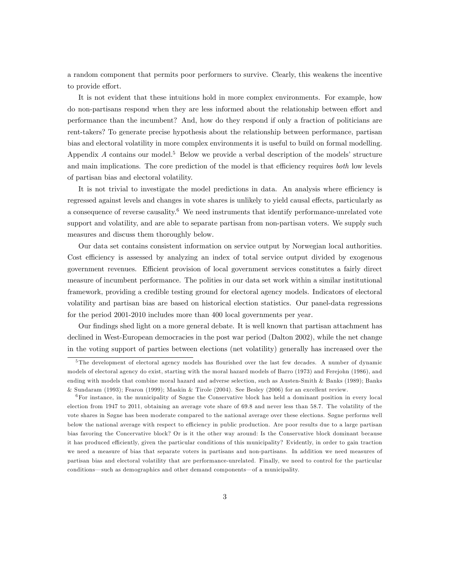a random component that permits poor performers to survive. Clearly, this weakens the incentive to provide effort.

It is not evident that these intuitions hold in more complex environments. For example, how do non-partisans respond when they are less informed about the relationship between effort and performance than the incumbent? And, how do they respond if only a fraction of politicians are rent-takers? To generate precise hypothesis about the relationship between performance, partisan bias and electoral volatility in more complex environments it is useful to build on formal modelling. Appendix A contains our model.<sup>5</sup> Below we provide a verbal description of the models' structure and main implications. The core prediction of the model is that efficiency requires both low levels of partisan bias and electoral volatility.

It is not trivial to investigate the model predictions in data. An analysis where efficiency is regressed against levels and changes in vote shares is unlikely to yield causal effects, particularly as a consequence of reverse causality.<sup>6</sup> We need instruments that identify performance-unrelated vote support and volatility, and are able to separate partisan from non-partisan voters. We supply such measures and discuss them thoroughly below.

Our data set contains consistent information on service output by Norwegian local authorities. Cost efficiency is assessed by analyzing an index of total service output divided by exogenous government revenues. Efficient provision of local government services constitutes a fairly direct measure of incumbent performance. The polities in our data set work within a similar institutional framework, providing a credible testing ground for electoral agency models. Indicators of electoral volatility and partisan bias are based on historical election statistics. Our panel-data regressions for the period 2001-2010 includes more than 400 local governments per year.

Our Öndings shed light on a more general debate. It is well known that partisan attachment has declined in West-European democracies in the post war period (Dalton 2002), while the net change in the voting support of parties between elections (net volatility) generally has increased over the

 $5$ The development of electoral agency models has flourished over the last few decades. A number of dynamic models of electoral agency do exist, starting with the moral hazard models of Barro (1973) and Ferejohn (1986), and ending with models that combine moral hazard and adverse selection, such as Austen-Smith & Banks (1989); Banks & Sundaram (1993); Fearon (1999); Maskin & Tirole (2004). See Besley (2006) for an excellent review.

 $6$ For instance, in the municipality of Søgne the Conservative block has held a dominant position in every local election from 1947 to 2011, obtaining an average vote share of 69.8 and never less than 58.7. The volatility of the vote shares in Søgne has been moderate compared to the national average over these elections. Søgne performs well below the national average with respect to efficiency in public production. Are poor results due to a large partisan bias favoring the Concervative block? Or is it the other way around: Is the Conservative block dominant because it has produced efficiently, given the particular conditions of this municipality? Evidently, in order to gain traction we need a measure of bias that separate voters in partisans and non-partisans. In addition we need measures of partisan bias and electoral volatility that are performance-unrelated. Finally, we need to control for the particular conditions—such as demographics and other demand components—of a municipality.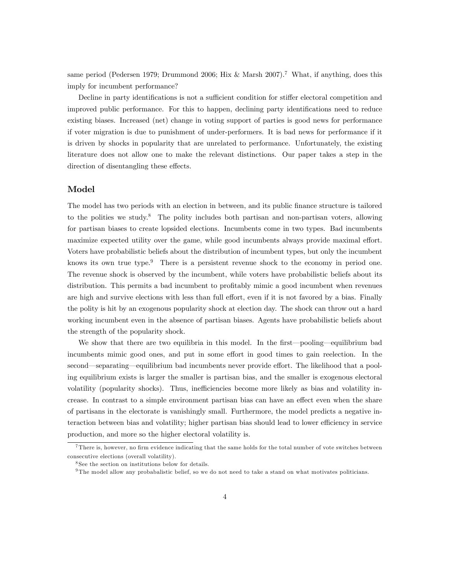same period (Pedersen 1979; Drummond 2006; Hix & Marsh 2007).<sup>7</sup> What, if anything, does this imply for incumbent performance?

Decline in party identifications is not a sufficient condition for stiffer electoral competition and improved public performance. For this to happen, declining party identifications need to reduce existing biases. Increased (net) change in voting support of parties is good news for performance if voter migration is due to punishment of under-performers. It is bad news for performance if it is driven by shocks in popularity that are unrelated to performance. Unfortunately, the existing literature does not allow one to make the relevant distinctions. Our paper takes a step in the direction of disentangling these effects.

## Model

The model has two periods with an election in between, and its public finance structure is tailored to the polities we study.<sup>8</sup> The polity includes both partisan and non-partisan voters, allowing for partisan biases to create lopsided elections. Incumbents come in two types. Bad incumbents maximize expected utility over the game, while good incumbents always provide maximal effort. Voters have probabilistic beliefs about the distribution of incumbent types, but only the incumbent knows its own true type.<sup>9</sup> There is a persistent revenue shock to the economy in period one. The revenue shock is observed by the incumbent, while voters have probabilistic beliefs about its distribution. This permits a bad incumbent to profitably mimic a good incumbent when revenues are high and survive elections with less than full effort, even if it is not favored by a bias. Finally the polity is hit by an exogenous popularity shock at election day. The shock can throw out a hard working incumbent even in the absence of partisan biases. Agents have probabilistic beliefs about the strength of the popularity shock.

We show that there are two equilibria in this model. In the first—pooling—equilibrium bad incumbents mimic good ones, and put in some effort in good times to gain reelection. In the second—separating—equilibrium bad incumbents never provide effort. The likelihood that a pooling equilibrium exists is larger the smaller is partisan bias, and the smaller is exogenous electoral volatility (popularity shocks). Thus, inefficiencies become more likely as bias and volatility increase. In contrast to a simple environment partisan bias can have an effect even when the share of partisans in the electorate is vanishingly small. Furthermore, the model predicts a negative interaction between bias and volatility; higher partisan bias should lead to lower efficiency in service production, and more so the higher electoral volatility is.

 $7$ There is, however, no firm evidence indicating that the same holds for the total number of vote switches between consecutive elections (overall volatility).

<sup>8</sup> See the section on institutions below for details.

<sup>9</sup> The model allow any probabalistic belief, so we do not need to take a stand on what motivates politicians.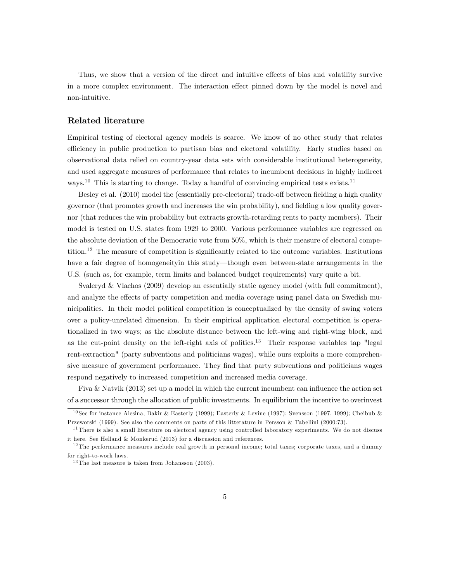Thus, we show that a version of the direct and intuitive effects of bias and volatility survive in a more complex environment. The interaction effect pinned down by the model is novel and non-intuitive.

## Related literature

Empirical testing of electoral agency models is scarce. We know of no other study that relates efficiency in public production to partisan bias and electoral volatility. Early studies based on observational data relied on country-year data sets with considerable institutional heterogeneity, and used aggregate measures of performance that relates to incumbent decisions in highly indirect ways.<sup>10</sup> This is starting to change. Today a handful of convincing empirical tests exists.<sup>11</sup>

Besley et al. (2010) model the (essentially pre-electoral) trade-off between fielding a high quality governor (that promotes growth and increases the win probability), and fielding a low quality governor (that reduces the win probability but extracts growth-retarding rents to party members). Their model is tested on U.S. states from 1929 to 2000. Various performance variables are regressed on the absolute deviation of the Democratic vote from 50%, which is their measure of electoral competition.<sup>12</sup> The measure of competition is significantly related to the outcome variables. Institutions have a fair degree of homogeneityin this study—though even between-state arrangements in the U.S. (such as, for example, term limits and balanced budget requirements) vary quite a bit.

Svaleryd & Vlachos (2009) develop an essentially static agency model (with full commitment), and analyze the effects of party competition and media coverage using panel data on Swedish municipalities. In their model political competition is conceptualized by the density of swing voters over a policy-unrelated dimension. In their empirical application electoral competition is operationalized in two ways; as the absolute distance between the left-wing and right-wing block, and as the cut-point density on the left-right axis of politics.<sup>13</sup> Their response variables tap "legal" rent-extraction" (party subventions and politicians wages), while ours exploits a more comprehensive measure of government performance. They find that party subventions and politicians wages respond negatively to increased competition and increased media coverage.

Fiva & Natvik  $(2013)$  set up a model in which the current incumbent can influence the action set of a successor through the allocation of public investments. In equilibrium the incentive to overinvest

<sup>10</sup> See for instance Alesina, Bakir & Easterly (1999); Easterly & Levine (1997); Svensson (1997, 1999); Cheibub & Przeworski (1999). See also the comments on parts of this litterature in Persson & Tabellini (2000:73).

 $11$  There is also a small literature on electoral agency using controlled laboratory experiments. We do not discuss it here. See Helland & Monkerud (2013) for a discussion and references.

 $12$ The performance measures include real growth in personal income; total taxes; corporate taxes, and a dummy for right-to-work laws.

<sup>13</sup> The last measure is taken from Johansson (2003).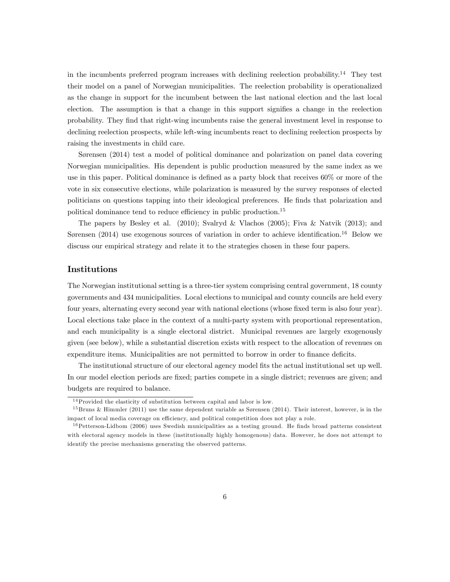in the incumbents preferred program increases with declining reelection probability.<sup>14</sup> They test their model on a panel of Norwegian municipalities. The reelection probability is operationalized as the change in support for the incumbent between the last national election and the last local election. The assumption is that a change in this support signifies a change in the reelection probability. They Önd that right-wing incumbents raise the general investment level in response to declining reelection prospects, while left-wing incumbents react to declining reelection prospects by raising the investments in child care.

Sørensen (2014) test a model of political dominance and polarization on panel data covering Norwegian municipalities. His dependent is public production measured by the same index as we use in this paper. Political dominance is defined as a party block that receives  $60\%$  or more of the vote in six consecutive elections, while polarization is measured by the survey responses of elected politicians on questions tapping into their ideological preferences. He finds that polarization and political dominance tend to reduce efficiency in public production.<sup>15</sup>

The papers by Besley et al. (2010); Svalryd & Vlachos (2005); Fiva & Natvik (2013); and Sørensen (2014) use exogenous sources of variation in order to achieve identification.<sup>16</sup> Below we discuss our empirical strategy and relate it to the strategies chosen in these four papers.

## Institutions

The Norwegian institutional setting is a three-tier system comprising central government, 18 county governments and 434 municipalities. Local elections to municipal and county councils are held every four years, alternating every second year with national elections (whose fixed term is also four year). Local elections take place in the context of a multi-party system with proportional representation, and each municipality is a single electoral district. Municipal revenues are largely exogenously given (see below), while a substantial discretion exists with respect to the allocation of revenues on expenditure items. Municipalities are not permitted to borrow in order to finance deficits.

The institutional structure of our electoral agency model fits the actual institutional set up well. In our model election periods are fixed; parties compete in a single district; revenues are given; and budgets are required to balance.

<sup>&</sup>lt;sup>14</sup>Provided the elasticity of substitution between capital and labor is low.

 $15$  Bruns & Himmler (2011) use the same dependent variable as Sørensen (2014). Their interest, however, is in the impact of local media coverage on efficiency, and political competition does not play a role.

 $16$ Petterson-Lidbom (2006) uses Swedish municipalities as a testing ground. He finds broad patterns consistent with electoral agency models in these (institutionally highly homogenous) data. However, he does not attempt to identify the precise mechanisms generating the observed patterns.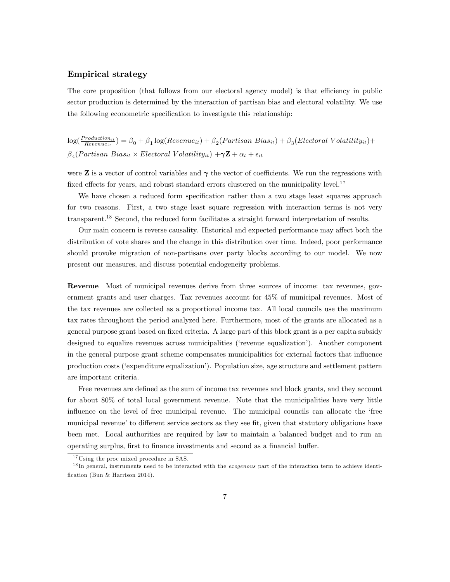## Empirical strategy

The core proposition (that follows from our electoral agency model) is that efficiency in public sector production is determined by the interaction of partisan bias and electoral volatility. We use the following econometric specification to investigate this relationship:

 $log(\frac{Production_{it}}{Revenue_{it}}) = \beta_0 + \beta_1 log(Revenue_{it}) + \beta_2(Partisan~Bias_{it}) + \beta_3(Electoral~Volatility_{it}) +$  $\beta_4(Partisan~Bias_{it} \times Electrical~Volatility_{it}) + \gamma \mathbf{Z} + \alpha_t + \epsilon_{it}$ 

were **Z** is a vector of control variables and  $\gamma$  the vector of coefficients. We run the regressions with fixed effects for years, and robust standard errors clustered on the municipality level.<sup>17</sup>

We have chosen a reduced form specification rather than a two stage least squares approach for two reasons. First, a two stage least square regression with interaction terms is not very transparent.<sup>18</sup> Second, the reduced form facilitates a straight forward interpretation of results.

Our main concern is reverse causality. Historical and expected performance may affect both the distribution of vote shares and the change in this distribution over time. Indeed, poor performance should provoke migration of non-partisans over party blocks according to our model. We now present our measures, and discuss potential endogeneity problems.

Revenue Most of municipal revenues derive from three sources of income: tax revenues, government grants and user charges. Tax revenues account for 45% of municipal revenues. Most of the tax revenues are collected as a proportional income tax. All local councils use the maximum tax rates throughout the period analyzed here. Furthermore, most of the grants are allocated as a general purpose grant based on fixed criteria. A large part of this block grant is a per capita subsidy designed to equalize revenues across municipalities ('revenue equalization'). Another component in the general purpose grant scheme compensates municipalities for external factors that influence production costs ('expenditure equalization'). Population size, age structure and settlement pattern are important criteria.

Free revenues are defined as the sum of income tax revenues and block grants, and they account for about 80% of total local government revenue. Note that the municipalities have very little influence on the level of free municipal revenue. The municipal councils can allocate the 'free municipal revenue' to different service sectors as they see fit, given that statutory obligations have been met. Local authorities are required by law to maintain a balanced budget and to run an operating surplus, first to finance investments and second as a financial buffer.

<sup>17</sup>Using the proc mixed procedure in SAS.

 $18$  In general, instruments need to be interacted with the *exogenous* part of the interaction term to achieve identification (Bun  $\&$  Harrison 2014).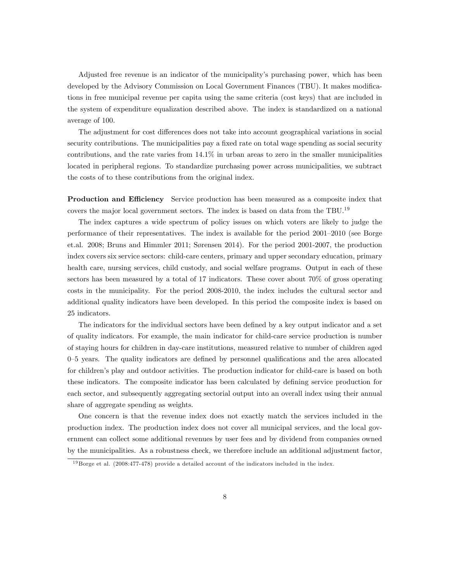Adjusted free revenue is an indicator of the municipalityís purchasing power, which has been developed by the Advisory Commission on Local Government Finances (TBU). It makes modifications in free municipal revenue per capita using the same criteria (cost keys) that are included in the system of expenditure equalization described above. The index is standardized on a national average of 100.

The adjustment for cost differences does not take into account geographical variations in social security contributions. The municipalities pay a fixed rate on total wage spending as social security contributions, and the rate varies from 14.1% in urban areas to zero in the smaller municipalities located in peripheral regions. To standardize purchasing power across municipalities, we subtract the costs of to these contributions from the original index.

**Production and Efficiency** Service production has been measured as a composite index that covers the major local government sectors. The index is based on data from the TBU.<sup>19</sup>

The index captures a wide spectrum of policy issues on which voters are likely to judge the performance of their representatives. The index is available for the period  $2001-2010$  (see Borge et.al. 2008; Bruns and Himmler 2011; Sørensen 2014). For the period 2001-2007, the production index covers six service sectors: child-care centers, primary and upper secondary education, primary health care, nursing services, child custody, and social welfare programs. Output in each of these sectors has been measured by a total of 17 indicators. These cover about 70% of gross operating costs in the municipality. For the period 2008-2010, the index includes the cultural sector and additional quality indicators have been developed. In this period the composite index is based on 25 indicators.

The indicators for the individual sectors have been defined by a key output indicator and a set of quality indicators. For example, the main indicator for child-care service production is number of staying hours for children in day-care institutions, measured relative to number of children aged  $0-5$  years. The quality indicators are defined by personnel qualifications and the area allocated for children's play and outdoor activities. The production indicator for child-care is based on both these indicators. The composite indicator has been calculated by defining service production for each sector, and subsequently aggregating sectorial output into an overall index using their annual share of aggregate spending as weights.

One concern is that the revenue index does not exactly match the services included in the production index. The production index does not cover all municipal services, and the local government can collect some additional revenues by user fees and by dividend from companies owned by the municipalities. As a robustness check, we therefore include an additional adjustment factor,

<sup>19</sup> Borge et al. (2008:477-478) provide a detailed account of the indicators included in the index.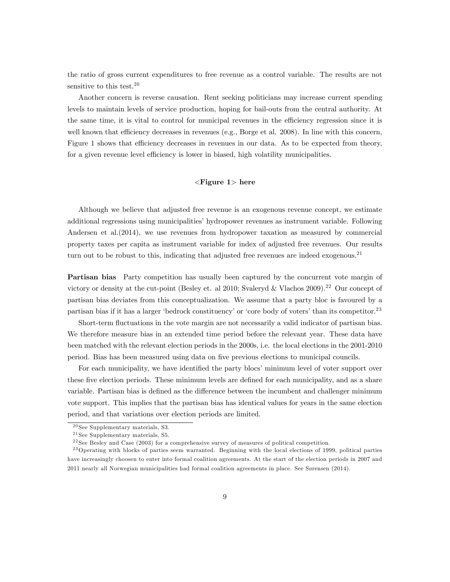the ratio of gross current expenditures to free revenue as a control variable. The results are not sensitive to this test.<sup>20</sup>

Another concern is reverse causation. Rent seeking politicians may increase current spending levels to maintain levels of service production, hoping for bail-outs from the central authority. At the same time, it is vital to control for municipal revenues in the efficiency regression since it is well known that efficiency decreases in revenues (e.g., Borge et al. 2008). In line with this concern, Figure 1 shows that efficiency decreases in revenues in our data. As to be expected from theory, for a given revenue level efficiency is lower in biased, high volatility municipalities.

## <Figure 1> here

Although we believe that adjusted free revenue is an exogenous revenue concept, we estimate additional regressions using municipalities' hydropower revenues as instrument variable. Following Andersen et al.(2014), we use revenues from hydropower taxation as measured by commercial property taxes per capita as instrument variable for index of adjusted free revenues. Our results turn out to be robust to this, indicating that adjusted free revenues are indeed exogenous.<sup>21</sup>

Partisan bias Party competition has usually been captured by the concurrent vote margin of victory or density at the cut-point (Besley et. al 2010; Svaleryd & Vlachos  $2009$ ).<sup>22</sup> Our concept of partisan bias deviates from this conceptualization. We assume that a party bloc is favoured by a partisan bias if it has a larger 'bedrock constituency' or 'core body of voters' than its competitor.<sup>23</sup>

Short-term fluctuations in the vote margin are not necessarily a valid indicator of partisan bias. We therefore measure bias in an extended time period before the relevant year. These data have been matched with the relevant election periods in the 2000s, i.e. the local elections in the 2001-2010 period. Bias has been measured using data on five previous elections to municipal councils.

For each municipality, we have identified the party blocs' minimum level of voter support over these five election periods. These minimum levels are defined for each municipality, and as a share variable. Partisan bias is defined as the difference between the incumbent and challenger minimum vote support. This implies that the partisan bias has identical values for years in the same election period, and that variations over election periods are limited.

<sup>20</sup> See Supplementary materials, S3.

<sup>21</sup> See Supplementary materials, S5.

<sup>22</sup> See Besley and Case (2003) for a comprehensive survey of measures of political competition.

<sup>&</sup>lt;sup>23</sup> Operating with blocks of parties seem warranted. Beginning with the local elections of 1999, political parties have increasingly choosen to enter into formal coalition agreements. At the start of the election periods in 2007 and 2011 nearly all Norwegian municipalities had formal coalition agreements in place. See Sørensen (2014).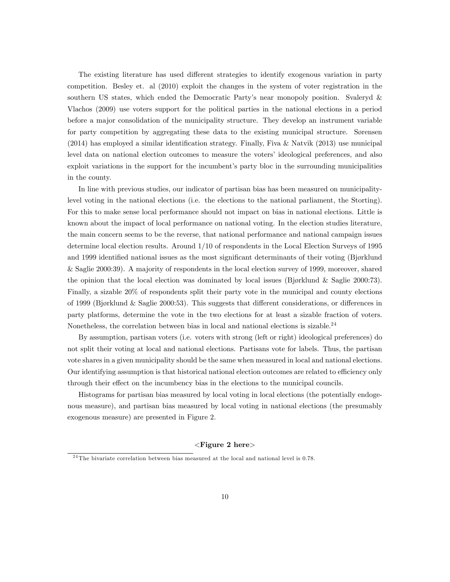The existing literature has used different strategies to identify exogenous variation in party competition. Besley et. al (2010) exploit the changes in the system of voter registration in the southern US states, which ended the Democratic Party's near monopoly position. Svaleryd & Vlachos (2009) use voters support for the political parties in the national elections in a period before a major consolidation of the municipality structure. They develop an instrument variable for party competition by aggregating these data to the existing municipal structure. Sørensen  $(2014)$  has employed a similar identification strategy. Finally, Fiva & Natvik  $(2013)$  use municipal level data on national election outcomes to measure the voters' ideological preferences, and also exploit variations in the support for the incumbent's party bloc in the surrounding municipalities in the county.

In line with previous studies, our indicator of partisan bias has been measured on municipalitylevel voting in the national elections (i.e. the elections to the national parliament, the Storting). For this to make sense local performance should not impact on bias in national elections. Little is known about the impact of local performance on national voting. In the election studies literature, the main concern seems to be the reverse, that national performance and national campaign issues determine local election results. Around 1/10 of respondents in the Local Election Surveys of 1995 and 1999 identified national issues as the most significant determinants of their voting (Bjørklund & Saglie 2000:39). A majority of respondents in the local election survey of 1999, moreover, shared the opinion that the local election was dominated by local issues (Bjørklund & Saglie 2000:73). Finally, a sizable 20% of respondents split their party vote in the municipal and county elections of 1999 (Bjørklund & Saglie 2000:53). This suggests that different considerations, or differences in party platforms, determine the vote in the two elections for at least a sizable fraction of voters. Nonetheless, the correlation between bias in local and national elections is sizable.<sup>24</sup>

By assumption, partisan voters (i.e. voters with strong (left or right) ideological preferences) do not split their voting at local and national elections. Partisans vote for labels. Thus, the partisan vote shares in a given municipality should be the same when measured in local and national elections. Our identifying assumption is that historical national election outcomes are related to efficiency only through their effect on the incumbency bias in the elections to the municipal councils.

Histograms for partisan bias measured by local voting in local elections (the potentially endogenous measure), and partisan bias measured by local voting in national elections (the presumably exogenous measure) are presented in Figure 2.

#### <Figure 2 here>

<sup>24</sup> The bivariate correlation between bias measured at the local and national level is 0.78.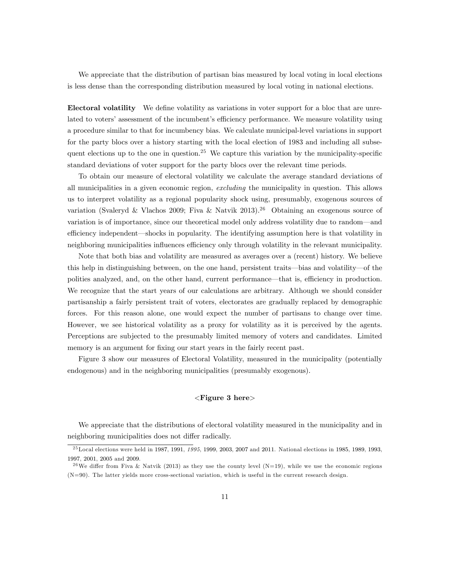We appreciate that the distribution of partisan bias measured by local voting in local elections is less dense than the corresponding distribution measured by local voting in national elections.

Electoral volatility We define volatility as variations in voter support for a bloc that are unrelated to voters' assessment of the incumbent's efficiency performance. We measure volatility using a procedure similar to that for incumbency bias. We calculate municipal-level variations in support for the party blocs over a history starting with the local election of 1983 and including all subsequent elections up to the one in question.<sup>25</sup> We capture this variation by the municipality-specific standard deviations of voter support for the party blocs over the relevant time periods.

To obtain our measure of electoral volatility we calculate the average standard deviations of all municipalities in a given economic region, excluding the municipality in question. This allows us to interpret volatility as a regional popularity shock using, presumably, exogenous sources of variation (Svaleryd & Vlachos 2009; Fiva & Natvik 2013).<sup>26</sup> Obtaining an exogenous source of variation is of importance, since our theoretical model only address volatility due to random—and efficiency independent—shocks in popularity. The identifying assumption here is that volatility in neighboring municipalities influences efficiency only through volatility in the relevant municipality.

Note that both bias and volatility are measured as averages over a (recent) history. We believe this help in distinguishing between, on the one hand, persistent traits—bias and volatility—of the polities analyzed, and, on the other hand, current performance—that is, efficiency in production. We recognize that the start years of our calculations are arbitrary. Although we should consider partisanship a fairly persistent trait of voters, electorates are gradually replaced by demographic forces. For this reason alone, one would expect the number of partisans to change over time. However, we see historical volatility as a proxy for volatility as it is perceived by the agents. Perceptions are subjected to the presumably limited memory of voters and candidates. Limited memory is an argument for fixing our start years in the fairly recent past.

Figure 3 show our measures of Electoral Volatility, measured in the municipality (potentially endogenous) and in the neighboring municipalities (presumably exogenous).

#### <Figure 3 here>

We appreciate that the distributions of electoral volatility measured in the municipality and in neighboring municipalities does not differ radically.

 $^{25}$  Local elections were held in 1987, 1991, 1995, 1999, 2003, 2007 and 2011. National elections in 1985, 1989, 1993, 1997, 2001, 2005 and 2009.

<sup>&</sup>lt;sup>26</sup>We differ from Fiva & Natvik (2013) as they use the county level (N=19), while we use the economic regions (N=90). The latter yields more cross-sectional variation, which is useful in the current research design.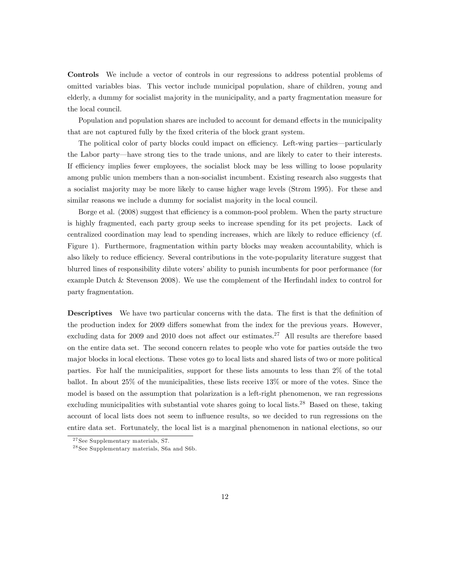Controls We include a vector of controls in our regressions to address potential problems of omitted variables bias. This vector include municipal population, share of children, young and elderly, a dummy for socialist majority in the municipality, and a party fragmentation measure for the local council.

Population and population shares are included to account for demand effects in the municipality that are not captured fully by the Öxed criteria of the block grant system.

The political color of party blocks could impact on efficiency. Left-wing parties—particularly the Labor party—have strong ties to the trade unions, and are likely to cater to their interests. If efficiency implies fewer employees, the socialist block may be less willing to loose popularity among public union members than a non-socialist incumbent. Existing research also suggests that a socialist majority may be more likely to cause higher wage levels (Strøm 1995). For these and similar reasons we include a dummy for socialist majority in the local council.

Borge et al. (2008) suggest that efficiency is a common-pool problem. When the party structure is highly fragmented, each party group seeks to increase spending for its pet projects. Lack of centralized coordination may lead to spending increases, which are likely to reduce efficiency (cf. Figure 1). Furthermore, fragmentation within party blocks may weaken accountability, which is also likely to reduce efficiency. Several contributions in the vote-popularity literature suggest that blurred lines of responsibility dilute voters' ability to punish incumbents for poor performance (for example Dutch  $&$  Stevenson 2008). We use the complement of the Herfindahl index to control for party fragmentation.

**Descriptives** We have two particular concerns with the data. The first is that the definition of the production index for 2009 differs somewhat from the index for the previous years. However, excluding data for 2009 and 2010 does not affect our estimates.<sup>27</sup> All results are therefore based on the entire data set. The second concern relates to people who vote for parties outside the two major blocks in local elections. These votes go to local lists and shared lists of two or more political parties. For half the municipalities, support for these lists amounts to less than 2% of the total ballot. In about 25% of the municipalities, these lists receive 13% or more of the votes. Since the model is based on the assumption that polarization is a left-right phenomenon, we ran regressions excluding municipalities with substantial vote shares going to local lists.<sup>28</sup> Based on these, taking account of local lists does not seem to influence results, so we decided to run regressions on the entire data set. Fortunately, the local list is a marginal phenomenon in national elections, so our

<sup>27</sup> See Supplementary materials, S7.

<sup>28</sup> See Supplementary materials, S6a and S6b.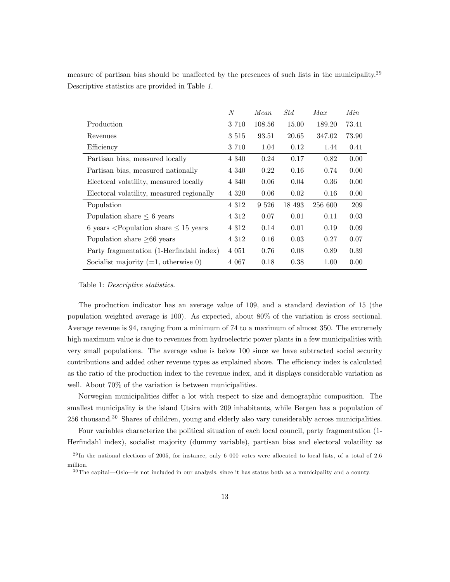|                                                    | N        | Mean    | Std    | Max     | Min   |
|----------------------------------------------------|----------|---------|--------|---------|-------|
| Production                                         | 3710     | 108.56  | 15.00  | 189.20  | 73.41 |
| Revenues                                           | $3\;515$ | 93.51   | 20.65  | 347.02  | 73.90 |
| Efficiency                                         | 3 7 1 0  | 1.04    | 0.12   | 1.44    | 0.41  |
| Partisan bias, measured locally                    | 4 340    | 0.24    | 0.17   | 0.82    | 0.00  |
| Partisan bias, measured nationally                 | 4 340    | 0.22    | 0.16   | 0.74    | 0.00  |
| Electoral volatility, measured locally             | 4 340    | 0.06    | 0.04   | 0.36    | 0.00  |
| Electoral volatility, measured regionally          | 4 320    | 0.06    | 0.02   | 0.16    | 0.00  |
| Population                                         | 4 3 1 2  | 9 5 2 6 | 18 493 | 256 600 | 209   |
| Population share $\leq 6$ years                    | 4 3 1 2  | 0.07    | 0.01   | 0.11    | 0.03  |
| 6 years $\langle$ Population share $\leq$ 15 years | 4 312    | 0.14    | 0.01   | 0.19    | 0.09  |
| Population share $\geq 66$ years                   | 4 312    | 0.16    | 0.03   | 0.27    | 0.07  |
| Party fragmentation (1-Herfindahl index)           | 4 051    | 0.76    | 0.08   | 0.89    | 0.39  |
| Socialist majority $(=1, 0)$ otherwise 0)          | 4 067    | 0.18    | 0.38   | 1.00    | 0.00  |

measure of partisan bias should be unaffected by the presences of such lists in the municipality.<sup>29</sup> Descriptive statistics are provided in Table 1.

Table 1: Descriptive statistics.

The production indicator has an average value of 109, and a standard deviation of 15 (the population weighted average is 100). As expected, about 80% of the variation is cross sectional. Average revenue is 94, ranging from a minimum of 74 to a maximum of almost 350. The extremely high maximum value is due to revenues from hydroelectric power plants in a few municipalities with very small populations. The average value is below 100 since we have subtracted social security contributions and added other revenue types as explained above. The efficiency index is calculated as the ratio of the production index to the revenue index, and it displays considerable variation as well. About 70% of the variation is between municipalities.

Norwegian municipalities differ a lot with respect to size and demographic composition. The smallest municipality is the island Utsira with 209 inhabitants, while Bergen has a population of 256 thousand.<sup>30</sup> Shares of children, young and elderly also vary considerably across municipalities.

Four variables characterize the political situation of each local council, party fragmentation (1- Herfindahl index), socialist majority (dummy variable), partisan bias and electoral volatility as

 $^{29}$ In the national elections of 2005, for instance, only 6 000 votes were allocated to local lists, of a total of 2.6 million.

 $30$  The capital—Oslo—is not included in our analysis, since it has status both as a municipality and a county.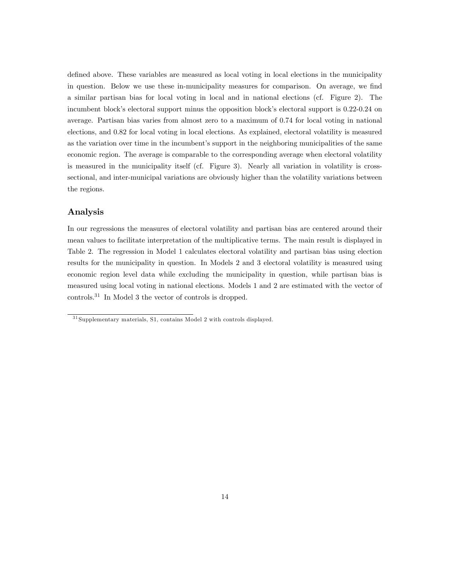defined above. These variables are measured as local voting in local elections in the municipality in question. Below we use these in-municipality measures for comparison. On average, we find a similar partisan bias for local voting in local and in national elections (cf. Figure 2). The incumbent block's electoral support minus the opposition block's electoral support is 0.22-0.24 on average. Partisan bias varies from almost zero to a maximum of 0.74 for local voting in national elections, and 0.82 for local voting in local elections. As explained, electoral volatility is measured as the variation over time in the incumbent's support in the neighboring municipalities of the same economic region. The average is comparable to the corresponding average when electoral volatility is measured in the municipality itself (cf. Figure 3). Nearly all variation in volatility is crosssectional, and inter-municipal variations are obviously higher than the volatility variations between the regions.

## Analysis

In our regressions the measures of electoral volatility and partisan bias are centered around their mean values to facilitate interpretation of the multiplicative terms. The main result is displayed in Table 2. The regression in Model 1 calculates electoral volatility and partisan bias using election results for the municipality in question. In Models 2 and 3 electoral volatility is measured using economic region level data while excluding the municipality in question, while partisan bias is measured using local voting in national elections. Models 1 and 2 are estimated with the vector of controls.<sup>31</sup> In Model 3 the vector of controls is dropped.

<sup>31</sup> Supplementary materials, S1, contains Model 2 with controls displayed.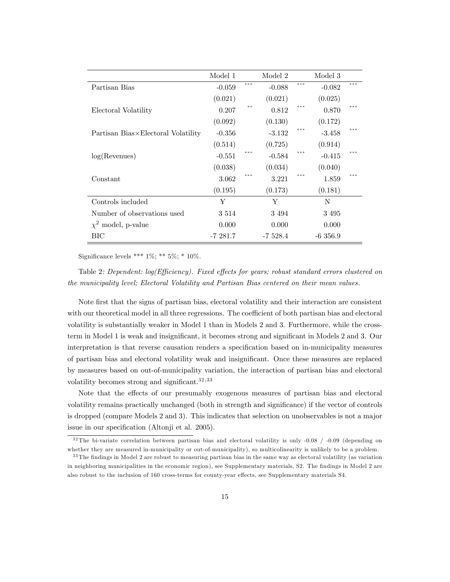|                                    | Model 1   |      | Model 2   |     | Model 3  |     |
|------------------------------------|-----------|------|-----------|-----|----------|-----|
| Partisan Bias                      | $-0.059$  | ***  | $-0.088$  | *** | $-0.082$ | *** |
|                                    | (0.021)   |      | (0.021)   |     | (0.025)  |     |
| Electoral Volatility               | 0.207     | $**$ | 0.812     | *** | 0.870    | *** |
|                                    | (0.092)   |      | (0.130)   |     | (0.172)  |     |
| Partisan Bias×Electoral Volatility | $-0.356$  |      | $-3.132$  | *** | $-3.458$ | *** |
|                                    | (0.514)   |      | (0.725)   |     | (0.914)  |     |
| $log($ Revenues $)$                | $-0.551$  | ***  | $-0.584$  | *** | $-0.415$ | *** |
|                                    | (0.038)   |      | (0.034)   |     | (0.040)  |     |
| Constant                           | 3.062     | ***  | 3.221     | *** | 1.859    | *** |
|                                    | (0.195)   |      | (0.173)   |     | (0.181)  |     |
| Controls included                  | Y         |      | Y         |     | N        |     |
| Number of observations used        | 3 5 1 4   |      | 3 4 9 4   |     | 3495     |     |
| $\chi^2$ model, p-value            | 0.000     |      | 0.000     |     | 0.000    |     |
| BIC                                | $-7281.7$ |      | $-7528.4$ |     | -6 356.9 |     |

Significance levels \*\*\*  $1\%$ ; \*\*  $5\%$ ; \*  $10\%$ .

Table 2: Dependent:  $log(E\text{fficiency})$ . Fixed effects for years; robust standard errors clustered on the municipality level; Electoral Volatility and Partisan Bias centered on their mean values.

Note first that the signs of partisan bias, electoral volatility and their interaction are consistent with our theoretical model in all three regressions. The coefficient of both partisan bias and electoral volatility is substantially weaker in Model 1 than in Models 2 and 3. Furthermore, while the crossterm in Model 1 is weak and insignificant, it becomes strong and significant in Models 2 and 3. Our interpretation is that reverse causation renders a specification based on in-municipality measures of partisan bias and electoral volatility weak and insignificant. Once these measures are replaced by measures based on out-of-municipality variation, the interaction of partisan bias and electoral volatility becomes strong and significant. $32,33$ 

Note that the effects of our presumably exogenous measures of partisan bias and electoral volatility remains practically unchanged (both in strength and significance) if the vector of controls is dropped (compare Models 2 and 3). This indicates that selection on unobservables is not a major issue in our specification (Altonji et al. 2005).

 $32$  The bi-variate correlation between partisan bias and electoral volatility is only -0.08 / -0.09 (depending on whether they are measured in-municipality or out-of-municipality), so multicolinearity is unlikely to be a problem.

 $33$  The findings in Model 2 are robust to measuring partisan bias in the same way as electoral volatility (as variation in neighboring municipalities in the economic region), see Supplementary materials, S2. The findings in Model 2 are also robust to the inclusion of 160 cross-terms for county-year effects, see Supplementary materials S4.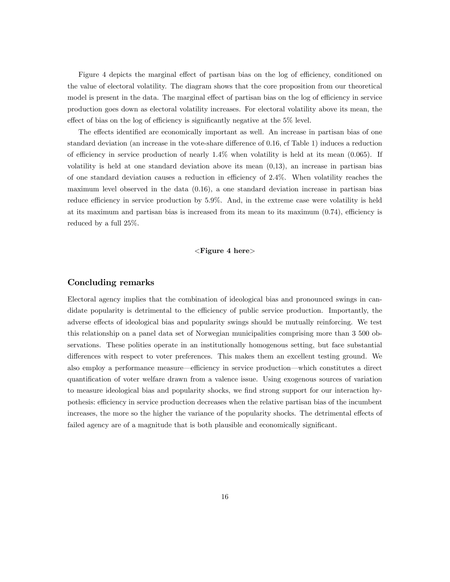Figure 4 depicts the marginal effect of partisan bias on the log of efficiency, conditioned on the value of electoral volatility. The diagram shows that the core proposition from our theoretical model is present in the data. The marginal effect of partisan bias on the log of efficiency in service production goes down as electoral volatility increases. For electoral volatility above its mean, the effect of bias on the log of efficiency is significantly negative at the  $5\%$  level.

The effects identified are economically important as well. An increase in partisan bias of one standard deviation (an increase in the vote-share difference of 0.16, cf Table 1) induces a reduction of efficiency in service production of nearly  $1.4\%$  when volatility is held at its mean  $(0.065)$ . If volatility is held at one standard deviation above its mean (0,13), an increase in partisan bias of one standard deviation causes a reduction in efficiency of  $2.4\%$ . When volatility reaches the maximum level observed in the data (0.16), a one standard deviation increase in partisan bias reduce efficiency in service production by 5.9%. And, in the extreme case were volatility is held at its maximum and partisan bias is increased from its mean to its maximum  $(0.74)$ , efficiency is reduced by a full 25%.

### <Figure 4 here>

## Concluding remarks

Electoral agency implies that the combination of ideological bias and pronounced swings in candidate popularity is detrimental to the efficiency of public service production. Importantly, the adverse effects of ideological bias and popularity swings should be mutually reinforcing. We test this relationship on a panel data set of Norwegian municipalities comprising more than 3 500 observations. These polities operate in an institutionally homogenous setting, but face substantial differences with respect to voter preferences. This makes them an excellent testing ground. We also employ a performance measure—efficiency in service production—which constitutes a direct quantification of voter welfare drawn from a valence issue. Using exogenous sources of variation to measure ideological bias and popularity shocks, we find strong support for our interaction hypothesis: efficiency in service production decreases when the relative partisan bias of the incumbent increases, the more so the higher the variance of the popularity shocks. The detrimental effects of failed agency are of a magnitude that is both plausible and economically significant.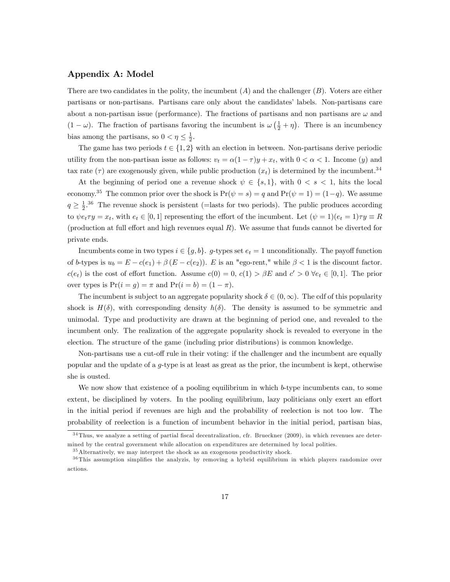## Appendix A: Model

There are two candidates in the polity, the incumbent  $(A)$  and the challenger  $(B)$ . Voters are either partisans or non-partisans. Partisans care only about the candidates' labels. Non-partisans care about a non-partisan issue (performance). The fractions of partisans and non partisans are  $\omega$  and  $(1 - \omega)$ . The fraction of partisans favoring the incumbent is  $\omega \left(\frac{1}{2} + \eta\right)$ . There is an incumbency bias among the partisans, so  $0 < \eta \leq \frac{1}{2}$ .

The game has two periods  $t \in \{1, 2\}$  with an election in between. Non-partisans derive periodic utility from the non-partisan issue as follows:  $v_t = \alpha(1 - \tau)y + x_t$ , with  $0 < \alpha < 1$ . Income (y) and tax rate ( $\tau$ ) are exogenously given, while public production  $(x_t)$  is determined by the incumbent.<sup>34</sup>

At the beginning of period one a revenue shock  $\psi \in \{s, 1\}$ , with  $0 < s < 1$ , hits the local economy.<sup>35</sup> The common prior over the shock is  $Pr(\psi = s) = q$  and  $Pr(\psi = 1) = (1-q)$ . We assume  $q \geq \frac{1}{2}$ .<sup>36</sup> The revenue shock is persistent (=lasts for two periods). The public produces according to  $\psi e_t \tau y = x_t$ , with  $e_t \in [0, 1]$  representing the effort of the incumbent. Let  $(\psi = 1)(e_t = 1)\tau y \equiv R$ (production at full effort and high revenues equal  $R$ ). We assume that funds cannot be diverted for private ends.

Incumbents come in two types  $i \in \{g, b\}$ . g-types set  $e_t = 1$  unconditionally. The payoff function of b-types is  $u_b = E - c(e_1) + \beta (E - c(e_2))$ . E is an "ego-rent," while  $\beta < 1$  is the discount factor.  $c(e_t)$  is the cost of effort function. Assume  $c(0) = 0, c(1) > \beta E$  and  $c' > 0 \ \forall e_t \in [0,1]$ . The prior over types is  $Pr(i = g) = \pi$  and  $Pr(i = b) = (1 - \pi)$ .

The incumbent is subject to an aggregate popularity shock  $\delta \in (0,\infty)$ . The cdf of this popularity shock is  $H(\delta)$ , with corresponding density  $h(\delta)$ . The density is assumed to be symmetric and unimodal. Type and productivity are drawn at the beginning of period one, and revealed to the incumbent only. The realization of the aggregate popularity shock is revealed to everyone in the election. The structure of the game (including prior distributions) is common knowledge.

Non-partisans use a cut-off rule in their voting: if the challenger and the incumbent are equally popular and the update of a g-type is at least as great as the prior, the incumbent is kept, otherwise she is ousted.

We now show that existence of a pooling equilibrium in which b-type incumbents can, to some extent, be disciplined by voters. In the pooling equilibrium, lazy politicians only exert an effort in the initial period if revenues are high and the probability of reelection is not too low. The probability of reelection is a function of incumbent behavior in the initial period, partisan bias,

<sup>35</sup>Alternatively, we may interpret the shock as an exogenous productivity shock.

<sup>&</sup>lt;sup>34</sup> Thus, we analyze a setting of partial fiscal decentralization, cfr. Brueckner (2009), in which revenues are determined by the central government while allocation on expenditures are determined by local polities.

<sup>&</sup>lt;sup>36</sup> This assumption simplifies the analyzis, by removing a hybrid equilibrium in which players randomize over actions.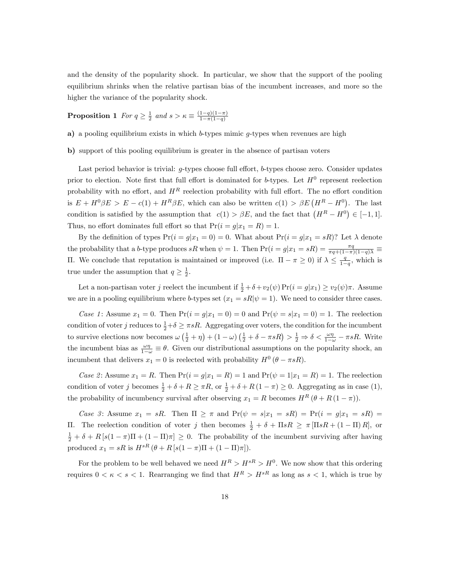and the density of the popularity shock. In particular, we show that the support of the pooling equilibrium shrinks when the relative partisan bias of the incumbent increases, and more so the higher the variance of the popularity shock.

#### **Proposition 1** For  $q \ge \frac{1}{2}$  and  $s > \kappa \equiv \frac{(1-q)(1-\pi)}{1-\pi(1-q)}$  $1-\pi(1-q)$

- a) a pooling equilibrium exists in which b-types mimic  $g$ -types when revenues are high
- b) support of this pooling equilibrium is greater in the absence of partisan voters

Last period behavior is trivial:  $g$ -types choose full effort,  $b$ -types choose zero. Consider updates prior to election. Note first that full effort is dominated for b-types. Let  $H^0$  represent reelection probability with no effort, and  $H<sup>R</sup>$  reelection probability with full effort. The no effort condition is  $E + H^0 \beta E > E - c(1) + H^R \beta E$ , which can also be written  $c(1) > \beta E (H^R - H^0)$ . The last condition is satisfied by the assumption that  $c(1) > \beta E$ , and the fact that  $(H^R - H^0) \in [-1, 1]$ . Thus, no effort dominates full effort so that  $Pr(i = g|x_1 = R) = 1$ .

By the definition of types  $Pr(i = g|x_1 = 0) = 0$ . What about  $Pr(i = g|x_1 = sR)$ ? Let  $\lambda$  denote the probability that a b-type produces  $sR$  when  $\psi = 1$ . Then  $Pr(i = g|x_1 = sR) = \frac{\pi q}{\pi q + (1-\pi)(1-q)\lambda} \equiv$ II. We conclude that reputation is maintained or improved (i.e.  $\Pi - \pi \geq 0$ ) if  $\lambda \leq \frac{q}{1-q}$ , which is true under the assumption that  $q \geq \frac{1}{2}$ .

Let a non-partisan voter j reelect the incumbent if  $\frac{1}{2} + \delta + v_2(\psi) \Pr(i = g|x_1) \ge v_2(\psi)\pi$ . Assume we are in a pooling equilibrium where b-types set  $(x_1 = sR|\psi = 1)$ . We need to consider three cases.

Case 1: Assume  $x_1 = 0$ . Then  $Pr(i = g|x_1 = 0) = 0$  and  $Pr(\psi = s|x_1 = 0) = 1$ . The reelection condition of voter j reduces to  $\frac{1}{2}+\delta \geq \pi sR$ . Aggregating over voters, the condition for the incumbent to survive elections now becomes  $\omega(\frac{1}{2} + \eta) + (1 - \omega)(\frac{1}{2} + \delta - \pi sR) > \frac{1}{2} \Rightarrow \delta < \frac{\omega\eta}{1 - \omega} - \pi sR$ . Write the incumbent bias as  $\frac{\omega \eta}{1-\omega} \equiv \theta$ . Given our distributional assumptions on the popularity shock, an incumbent that delivers  $x_1 = 0$  is reelected with probability  $H^0(\theta - \pi sR)$ .

Case 2: Assume  $x_1 = R$ . Then  $Pr(i = g|x_1 = R) = 1$  and  $Pr(\psi = 1|x_1 = R) = 1$ . The reelection condition of voter j becomes  $\frac{1}{2} + \delta + R \geq \pi R$ , or  $\frac{1}{2} + \delta + R(1 - \pi) \geq 0$ . Aggregating as in case (1), the probability of incumbency survival after observing  $x_1 = R$  becomes  $H^R(\theta + R(1 - \pi))$ .

Case 3: Assume  $x_1 = sR$ . Then  $\Pi \geq \pi$  and  $Pr(\psi = s | x_1 = sR) = Pr(i = g | x_1 = sR)$ II. The reelection condition of voter j then becomes  $\frac{1}{2} + \delta + \Pi sR \geq \pi [\Pi sR + (1 - \Pi) R]$ , or  $\frac{1}{2} + \delta + R[s(1-\pi)\Pi + (1-\Pi)\pi] \geq 0$ . The probability of the incumbent surviving after having produced  $x_1 = sR$  is  $H^{sR}(\theta + R[s(1 - \pi)\Pi + (1 - \Pi)\pi]).$ 

For the problem to be well behaved we need  $H^R > H^{sR} > H^0$ . We now show that this ordering requires  $0 < \kappa < s < 1$ . Rearranging we find that  $H^R > H^{sR}$  as long as  $s < 1$ , which is true by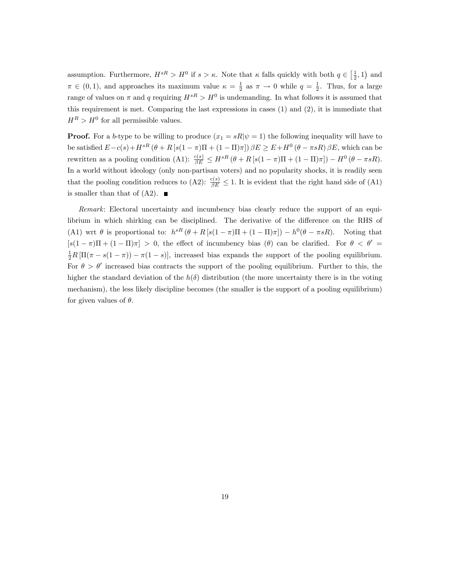assumption. Furthermore,  $H^{sR} > H^0$  if  $s > \kappa$ . Note that  $\kappa$  falls quickly with both  $q \in \left[\frac{1}{2}, 1\right)$  and  $\pi \in (0,1)$ , and approaches its maximum value  $\kappa = \frac{1}{2}$  as  $\pi \to 0$  while  $q = \frac{1}{2}$ . Thus, for a large range of values on  $\pi$  and q requiring  $H^{sR} > H^0$  is undemanding. In what follows it is assumed that this requirement is met. Comparing the last expressions in cases (1) and (2), it is immediate that  $H^R > H^0$  for all permissible values.

**Proof.** For a b-type to be willing to produce  $(x_1 = sR|\psi = 1)$  the following inequality will have to be satisfied  $E-c(s)+H^{sR}(\theta+R[s(1-\pi)\Pi+(1-\Pi)\pi])\beta E\geq E+H^{0}(\theta-\pi sR)\beta E$ , which can be rewritten as a pooling condition (A1):  $\frac{c(s)}{\beta E} \leq H^{sR}(\theta + R[s(1-\pi)\Pi + (1-\Pi)\pi]) - H^0(\theta - \pi sR)$ . In a world without ideology (only non-partisan voters) and no popularity shocks, it is readily seen that the pooling condition reduces to (A2):  $\frac{c(s)}{\beta E} \leq 1$ . It is evident that the right hand side of (A1) is smaller than that of  $(A2)$ .

Remark: Electoral uncertainty and incumbency bias clearly reduce the support of an equilibrium in which shirking can be disciplined. The derivative of the difference on the RHS of (A1) wrt  $\theta$  is proportional to:  $h^{sR}(\theta + R[s(1-\pi)\Pi + (1-\Pi)\pi]) - h^0(\theta - \pi sR)$ . Noting that  $[s(1 - \pi)\Pi + (1 - \Pi)\pi] > 0$ , the effect of incumbency bias ( $\theta$ ) can be clarified. For  $\theta < \theta'$  $\frac{1}{2}R[\Pi(\pi - s(1-\pi)) - \pi(1-s)],$  increased bias expands the support of the pooling equilibrium. For  $\theta > \theta'$  increased bias contracts the support of the pooling equilibrium. Further to this, the higher the standard deviation of the  $h(\delta)$  distribution (the more uncertainty there is in the voting mechanism), the less likely discipline becomes (the smaller is the support of a pooling equilibrium) for given values of  $\theta$ .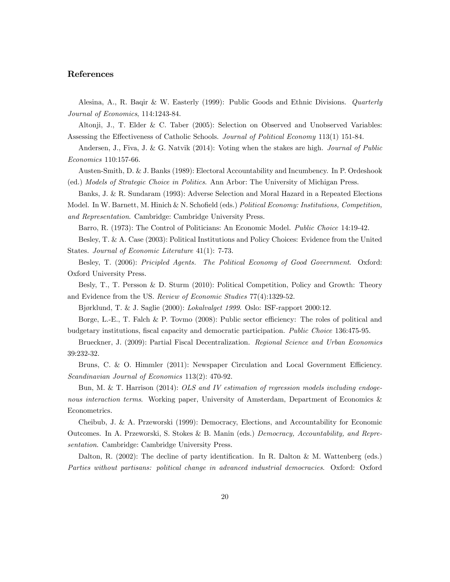## References

Alesina, A., R. Baqir & W. Easterly (1999): Public Goods and Ethnic Divisions. Quarterly Journal of Economics, 114:1243-84.

Altonji, J., T. Elder & C. Taber (2005): Selection on Observed and Unobserved Variables: Assessing the Effectiveness of Catholic Schools. Journal of Political Economy 113(1) 151-84.

Andersen, J., Fiva, J. & G. Natvik (2014): Voting when the stakes are high. Journal of Public Economics 110:157-66.

Austen-Smith, D. & J. Banks (1989): Electoral Accountability and Incumbency. In P. Ordeshook (ed.) Models of Strategic Choice in Politics. Ann Arbor: The University of Michigan Press.

Banks, J. & R. Sundaram (1993): Adverse Selection and Moral Hazard in a Repeated Elections Model. In W. Barnett, M. Hinich & N. Schofield (eds.) Political Economy: Institutions, Competition, and Representation. Cambridge: Cambridge University Press.

Barro, R. (1973): The Control of Politicians: An Economic Model. Public Choice 14:19-42.

Besley, T. & A. Case (2003): Political Institutions and Policy Choices: Evidence from the United States. Journal of Economic Literature 41(1): 7-73.

Besley, T. (2006): Pricipled Agents. The Political Economy of Good Government. Oxford: Oxford University Press.

Besly, T., T. Persson & D. Sturm (2010): Political Competition, Policy and Growth: Theory and Evidence from the US. Review of Economic Studies 77(4):1329-52.

Bjørklund, T. & J. Saglie  $(2000)$ : Lokalvalget 1999. Oslo: ISF-rapport 2000:12.

Borge, L.-E., T. Falch & P. Tovmo  $(2008)$ : Public sector efficiency: The roles of political and budgetary institutions, fiscal capacity and democratic participation. Public Choice 136:475-95.

Brueckner, J. (2009): Partial Fiscal Decentralization. Regional Science and Urban Economics 39:232-32.

Bruns, C. & O. Himmler (2011): Newspaper Circulation and Local Government Efficiency. Scandinavian Journal of Economics 113(2): 470-92.

Bun, M. & T. Harrison (2014): OLS and IV estimation of regression models including endogenous interaction terms. Working paper, University of Amsterdam, Department of Economics & Econometrics.

Cheibub, J. & A. Przeworski (1999): Democracy, Elections, and Accountability for Economic Outcomes. In A. Przeworski, S. Stokes & B. Manin (eds.) Democracy, Accountability, and Representation. Cambridge: Cambridge University Press.

Dalton, R. (2002): The decline of party identification. In R. Dalton & M. Wattenberg (eds.) Parties without partisans: political change in advanced industrial democracies. Oxford: Oxford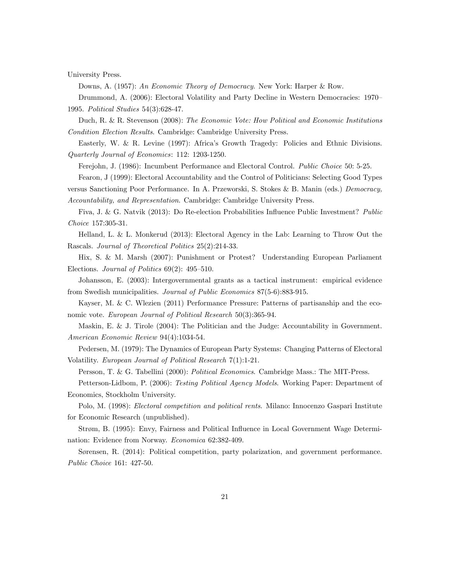University Press.

Downs, A. (1957): An Economic Theory of Democracy. New York: Harper & Row.

Drummond, A. (2006): Electoral Volatility and Party Decline in Western Democracies: 1970 1995. Political Studies 54(3):628-47.

Duch, R. & R. Stevenson (2008): The Economic Vote: How Political and Economic Institutions Condition Election Results. Cambridge: Cambridge University Press.

Easterly, W. & R. Levine (1997): Africa's Growth Tragedy: Policies and Ethnic Divisions. Quarterly Journal of Economics: 112: 1203-1250.

Ferejohn, J. (1986): Incumbent Performance and Electoral Control. Public Choice 50: 5-25.

Fearon, J (1999): Electoral Accountability and the Control of Politicians: Selecting Good Types

versus Sanctioning Poor Performance. In A. Przeworski, S. Stokes & B. Manin (eds.) Democracy, Accountability, and Representation. Cambridge: Cambridge University Press.

Fiva, J. & G. Natvik (2013): Do Re-election Probabilities Influence Public Investment? Public Choice 157:305-31.

Helland, L. & L. Monkerud (2013): Electoral Agency in the Lab: Learning to Throw Out the Rascals. Journal of Theoretical Politics 25(2):214-33.

Hix, S. & M. Marsh (2007): Punishment or Protest? Understanding European Parliament Elections. Journal of Politics  $69(2)$ : 495–510.

Johansson, E. (2003): Intergovernmental grants as a tactical instrument: empirical evidence from Swedish municipalities. Journal of Public Economics 87(5-6):883-915.

Kayser, M. & C. Wlezien (2011) Performance Pressure: Patterns of partisanship and the economic vote. European Journal of Political Research 50(3):365-94.

Maskin, E. & J. Tirole (2004): The Politician and the Judge: Accountability in Government. American Economic Review 94(4):1034-54.

Pedersen, M. (1979): The Dynamics of European Party Systems: Changing Patterns of Electoral Volatility. European Journal of Political Research 7(1):1-21.

Persson, T. & G. Tabellini (2000): Political Economics. Cambridge Mass.: The MIT-Press.

Petterson-Lidbom, P. (2006): Testing Political Agency Models. Working Paper: Department of Economics, Stockholm University.

Polo, M. (1998): Electoral competition and political rents. Milano: Innocenzo Gaspari Institute for Economic Research (unpublished).

Strøm, B. (1995): Envy, Fairness and Political Influence in Local Government Wage Determination: Evidence from Norway. Economica 62:382-409.

Sørensen, R. (2014): Political competition, party polarization, and government performance. Public Choice 161: 427-50.